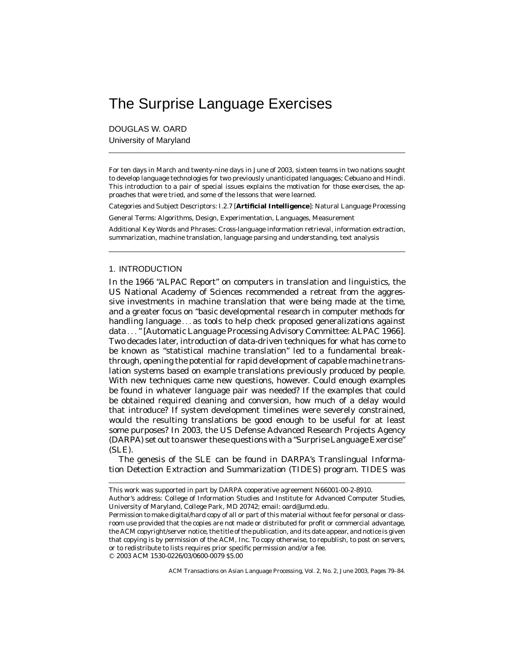# The Surprise Language Exercises

DOUGLAS W. OARD University of Maryland

For ten days in March and twenty-nine days in June of 2003, sixteen teams in two nations sought to develop language technologies for two previously unanticipated languages; Cebuano and Hindi. This introduction to a pair of special issues explains the motivation for those exercises, the approaches that were tried, and some of the lessons that were learned.

Categories and Subject Descriptors: I.2.7 [**Artificial Intelligence**]: Natural Language Processing

General Terms: Algorithms, Design, Experimentation, Languages, Measurement

Additional Key Words and Phrases: Cross-language information retrieval, information extraction, summarization, machine translation, language parsing and understanding, text analysis

# 1. INTRODUCTION

In the 1966 "ALPAC Report" on computers in translation and linguistics, the US National Academy of Sciences recommended a retreat from the aggressive investments in machine translation that were being made at the time, and a greater focus on "basic developmental research in computer methods for handling language ... as tools to help check proposed generalizations against data ..." [Automatic Language Processing Advisory Committee: ALPAC 1966]. Two decades later, introduction of data-driven techniques for what has come to be known as "statistical machine translation" led to a fundamental breakthrough, opening the potential for rapid development of capable machine translation systems based on example translations previously produced by people. With new techniques came new questions, however. Could enough examples be found in whatever language pair was needed? If the examples that could be obtained required cleaning and conversion, how much of a delay would that introduce? If system development timelines were severely constrained, would the resulting translations be good enough to be useful for at least some purposes? In 2003, the US Defense Advanced Research Projects Agency (DARPA) set out to answer these questions with a "Surprise Language Exercise" (SLE).

The genesis of the SLE can be found in DARPA's Translingual Information Detection Extraction and Summarization (TIDES) program. TIDES was

-C 2003 ACM 1530-0226/03/0600-0079 \$5.00

ACM Transactions on Asian Language Processing, Vol. 2, No. 2, June 2003, Pages 79–84.

This work was supported in part by DARPA cooperative agreement N66001-00-2-8910.

Author's address: College of Information Studies and Institute for Advanced Computer Studies, University of Maryland, College Park, MD 20742; email: oard@umd.edu.

Permission to make digital/hard copy of all or part of this material without fee for personal or classroom use provided that the copies are not made or distributed for profit or commercial advantage, the ACM copyright/server notice, the title of the publication, and its date appear, and notice is given that copying is by permission of the ACM, Inc. To copy otherwise, to republish, to post on servers, or to redistribute to lists requires prior specific permission and/or a fee.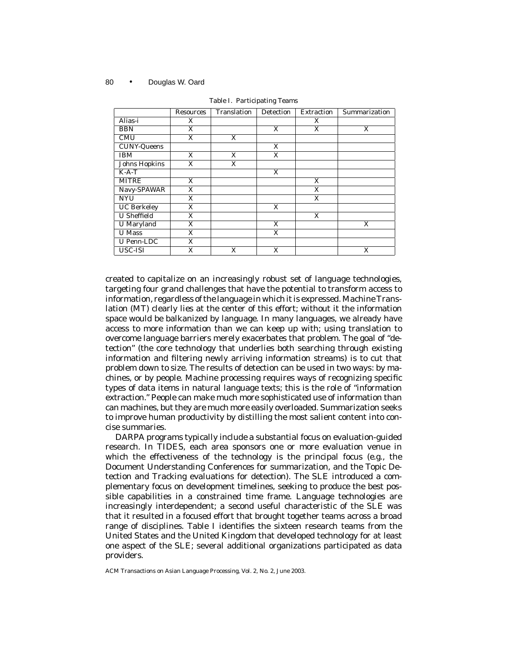### 80 • Douglas W. Oard

|                      | <b>Resources</b> | Translation | Detection | <b>Extraction</b> | Summarization |
|----------------------|------------------|-------------|-----------|-------------------|---------------|
| Alias-i              | X                |             |           | X                 |               |
| <b>BBN</b>           | X                |             | X         | X                 | X             |
| <b>CMU</b>           | X                | X           |           |                   |               |
| <b>CUNY-Queens</b>   |                  |             | X         |                   |               |
| <b>IBM</b>           | X                | X           | X         |                   |               |
| <b>Johns Hopkins</b> | X                | X           |           |                   |               |
| $K-A-T$              |                  |             | X         |                   |               |
| <b>MITRE</b>         | X                |             |           | X                 |               |
| Navy-SPAWAR          | X                |             |           | X                 |               |
| <b>NYU</b>           | X                |             |           | X                 |               |
| <b>UC</b> Berkeley   | X                |             | X         |                   |               |
| <b>U</b> Sheffield   | X                |             |           | X                 |               |
| <b>U</b> Maryland    | X                |             | X         |                   | X             |
| <b>U</b> Mass        | X                |             | X         |                   |               |
| <b>U</b> Penn-LDC    | X                |             |           |                   |               |
| USC-ISI              | X                | X           | X         |                   | X             |

Table I. Participating Teams

created to capitalize on an increasingly robust set of language technologies, targeting four grand challenges that have the potential to transform access to information, regardless of the language in which it is expressed. Machine Translation (MT) clearly lies at the center of this effort; without it the information space would be balkanized by language. In many languages, we already have access to more information than we can keep up with; using translation to overcome language barriers merely exacerbates that problem. The goal of "detection" (the core technology that underlies both searching through existing information and filtering newly arriving information streams) is to cut that problem down to size. The results of detection can be used in two ways: by machines, or by people. Machine processing requires ways of recognizing specific types of data items in natural language texts; this is the role of "information extraction." People can make much more sophisticated use of information than can machines, but they are much more easily overloaded. Summarization seeks to improve human productivity by distilling the most salient content into concise summaries.

DARPA programs typically include a substantial focus on evaluation-guided research. In TIDES, each area sponsors one or more evaluation venue in which the effectiveness of the technology is the principal focus (e.g., the Document Understanding Conferences for summarization, and the Topic Detection and Tracking evaluations for detection). The SLE introduced a complementary focus on development timelines, seeking to produce the best possible capabilities in a constrained time frame. Language technologies are increasingly interdependent; a second useful characteristic of the SLE was that it resulted in a focused effort that brought together teams across a broad range of disciplines. Table I identifies the sixteen research teams from the United States and the United Kingdom that developed technology for at least one aspect of the SLE; several additional organizations participated as data providers.

ACM Transactions on Asian Language Processing, Vol. 2, No. 2, June 2003.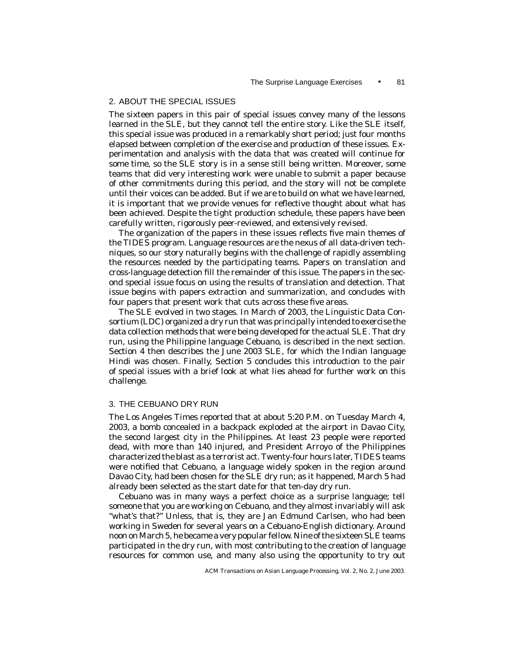# 2. ABOUT THE SPECIAL ISSUES

The sixteen papers in this pair of special issues convey many of the lessons learned in the SLE, but they cannot tell the entire story. Like the SLE itself, this special issue was produced in a remarkably short period; just four months elapsed between completion of the exercise and production of these issues. Experimentation and analysis with the data that was created will continue for some time, so the SLE story is in a sense still being written. Moreover, some teams that did very interesting work were unable to submit a paper because of other commitments during this period, and the story will not be complete until their voices can be added. But if we are to build on what we have learned, it is important that we provide venues for reflective thought about what has been achieved. Despite the tight production schedule, these papers have been carefully written, rigorously peer-reviewed, and extensively revised.

The organization of the papers in these issues reflects five main themes of the TIDES program. Language resources are the nexus of all data-driven techniques, so our story naturally begins with the challenge of rapidly assembling the resources needed by the participating teams. Papers on translation and cross-language detection fill the remainder of this issue. The papers in the second special issue focus on using the results of translation and detection. That issue begins with papers extraction and summarization, and concludes with four papers that present work that cuts across these five areas.

The SLE evolved in two stages. In March of 2003, the Linguistic Data Consortium (LDC) organized a dry run that was principally intended to exercise the data collection methods that were being developed for the actual SLE. That dry run, using the Philippine language Cebuano, is described in the next section. Section 4 then describes the June 2003 SLE, for which the Indian language Hindi was chosen. Finally, Section 5 concludes this introduction to the pair of special issues with a brief look at what lies ahead for further work on this challenge.

## 3. THE CEBUANO DRY RUN

The Los Angeles Times reported that at about 5:20 P.M. on Tuesday March 4, 2003, a bomb concealed in a backpack exploded at the airport in Davao City, the second largest city in the Philippines. At least 23 people were reported dead, with more than 140 injured, and President Arroyo of the Philippines characterized the blast as a terrorist act. Twenty-four hours later, TIDES teams were notified that Cebuano, a language widely spoken in the region around Davao City, had been chosen for the SLE dry run; as it happened, March 5 had already been selected as the start date for that ten-day dry run.

Cebuano was in many ways a perfect choice as a surprise language; tell someone that you are working on Cebuano, and they almost invariably will ask "what's that?" Unless, that is, they are Jan Edmund Carlsen, who had been working in Sweden for several years on a Cebuano-English dictionary. Around noon on March 5, he became a very popular fellow. Nine of the sixteen SLE teams participated in the dry run, with most contributing to the creation of language resources for common use, and many also using the opportunity to try out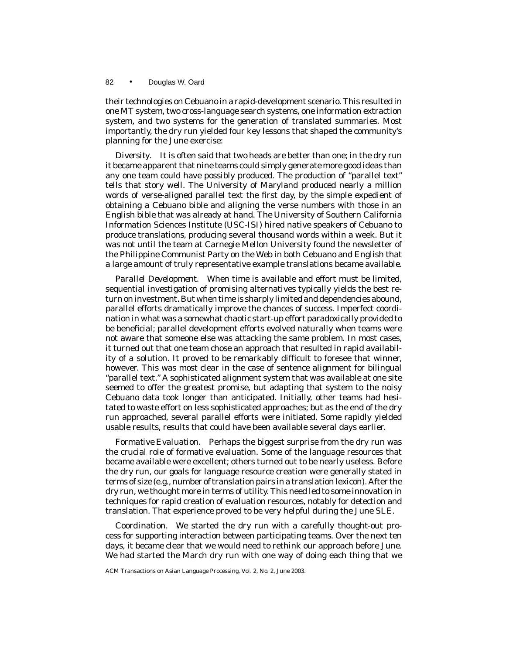### 82 • Douglas W. Oard

their technologies on Cebuano in a rapid-development scenario. This resulted in one MT system, two cross-language search systems, one information extraction system, and two systems for the generation of translated summaries. Most importantly, the dry run yielded four key lessons that shaped the community's planning for the June exercise:

*Diversity*. It is often said that two heads are better than one; in the dry run it became apparent that nine teams could simply generate more good ideas than any one team could have possibly produced. The production of "parallel text" tells that story well. The University of Maryland produced nearly a million words of verse-aligned parallel text the first day, by the simple expedient of obtaining a Cebuano bible and aligning the verse numbers with those in an English bible that was already at hand. The University of Southern California Information Sciences Institute (USC-ISI) hired native speakers of Cebuano to produce translations, producing several thousand words within a week. But it was not until the team at Carnegie Mellon University found the newsletter of the Philippine Communist Party on the Web in both Cebuano and English that a large amount of truly representative example translations became available.

*Parallel Development*. When time is available and effort must be limited, sequential investigation of promising alternatives typically yields the best return on investment. But when time is sharply limited and dependencies abound, parallel efforts dramatically improve the chances of success. Imperfect coordination in what was a somewhat chaotic start-up effort paradoxically provided to be beneficial; parallel development efforts evolved naturally when teams were not aware that someone else was attacking the same problem. In most cases, it turned out that one team chose an approach that resulted in rapid availability of a solution. It proved to be remarkably difficult to foresee that winner, however. This was most clear in the case of sentence alignment for bilingual "parallel text." A sophisticated alignment system that was available at one site seemed to offer the greatest promise, but adapting that system to the noisy Cebuano data took longer than anticipated. Initially, other teams had hesitated to waste effort on less sophisticated approaches; but as the end of the dry run approached, several parallel efforts were initiated. Some rapidly yielded usable results, results that could have been available several days earlier.

*Formative Evaluation*. Perhaps the biggest surprise from the dry run was the crucial role of formative evaluation. Some of the language resources that became available were excellent; others turned out to be nearly useless. Before the dry run, our goals for language resource creation were generally stated in terms of size (e.g., number of translation pairs in a translation lexicon). After the dry run, we thought more in terms of utility. This need led to some innovation in techniques for rapid creation of evaluation resources, notably for detection and translation. That experience proved to be very helpful during the June SLE.

*Coordination*. We started the dry run with a carefully thought-out process for supporting interaction between participating teams. Over the next ten days, it became clear that we would need to rethink our approach before June. We had started the March dry run with one way of doing each thing that we

ACM Transactions on Asian Language Processing, Vol. 2, No. 2, June 2003.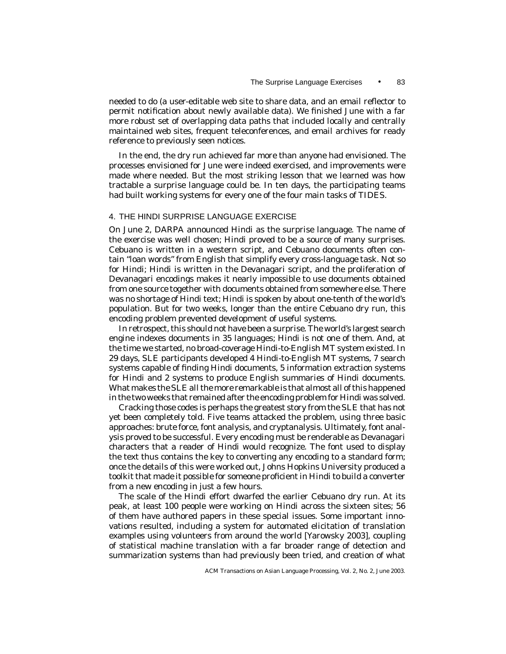needed to do (a user-editable web site to share data, and an email reflector to permit notification about newly available data). We finished June with a far more robust set of overlapping data paths that included locally and centrally maintained web sites, frequent teleconferences, and email archives for ready reference to previously seen notices.

In the end, the dry run achieved far more than anyone had envisioned. The processes envisioned for June were indeed exercised, and improvements were made where needed. But the most striking lesson that we learned was how tractable a surprise language could be. In ten days, the participating teams had built working systems for every one of the four main tasks of TIDES.

## 4. THE HINDI SURPRISE LANGUAGE EXERCISE

On June 2, DARPA announced Hindi as the surprise language. The name of the exercise was well chosen; Hindi proved to be a source of many surprises. Cebuano is written in a western script, and Cebuano documents often contain "loan words" from English that simplify every cross-language task. Not so for Hindi; Hindi is written in the Devanagari script, and the proliferation of Devanagari encodings makes it nearly impossible to use documents obtained from one source together with documents obtained from somewhere else. There was no shortage of Hindi text; Hindi is spoken by about one-tenth of the world's population. But for two weeks, longer than the entire Cebuano dry run, this encoding problem prevented development of useful systems.

In retrospect, this should not have been a surprise. The world's largest search engine indexes documents in 35 languages; Hindi is not one of them. And, at the time we started, no broad-coverage Hindi-to-English MT system existed. In 29 days, SLE participants developed 4 Hindi-to-English MT systems, 7 search systems capable of finding Hindi documents, 5 information extraction systems for Hindi and 2 systems to produce English summaries of Hindi documents. What makes the SLE all the more remarkable is that almost all of this happened in the two weeks that remained after the encoding problem for Hindi was solved.

Cracking those codes is perhaps the greatest story from the SLE that has not yet been completely told. Five teams attacked the problem, using three basic approaches: brute force, font analysis, and cryptanalysis. Ultimately, font analysis proved to be successful. Every encoding must be renderable as Devanagari characters that a reader of Hindi would recognize. The font used to display the text thus contains the key to converting any encoding to a standard form; once the details of this were worked out, Johns Hopkins University produced a toolkit that made it possible for someone proficient in Hindi to build a converter from a new encoding in just a few hours.

The scale of the Hindi effort dwarfed the earlier Cebuano dry run. At its peak, at least 100 people were working on Hindi across the sixteen sites; 56 of them have authored papers in these special issues. Some important innovations resulted, including a system for automated elicitation of translation examples using volunteers from around the world [Yarowsky 2003], coupling of statistical machine translation with a far broader range of detection and summarization systems than had previously been tried, and creation of what